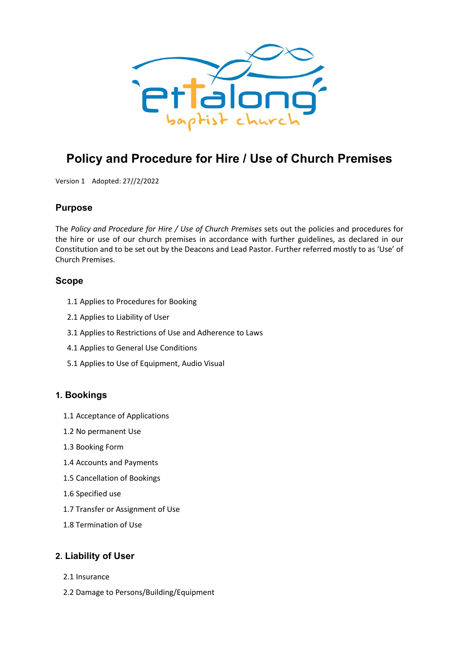

# **Policy and Procedure for Hire / Use of Church Premises**

Version 1 Adopted: 27//2/2022

# **Purpose**

The *Policy and Procedure for Hire / Use of Church Premises* sets out the policies and procedures for the hire or use of our church premises in accordance with further guidelines, as declared in our Constitution and to be set out by the Deacons and Lead Pastor. Further referred mostly to as 'Use' of Church Premises.

### **Scope**

- 1.1 Applies to Procedures for Booking
- 2.1 Applies to Liability of User
- 3.1 Applies to Restrictions of Use and Adherence to Laws
- 4.1 Applies to General Use Conditions
- 5.1 Applies to Use of Equipment, Audio Visual

# **1. Bookings**

- 1.1 Acceptance of Applications
- 1.2 No permanent Use
- 1.3 Booking Form
- 1.4 Accounts and Payments
- 1.5 Cancellation of Bookings
- 1.6 Specified use
- 1.7 Transfer or Assignment of Use
- 1.8 Termination of Use

# **2. Liability of User**

- 2.1 Insurance
- 2.2 Damage to Persons/Building/Equipment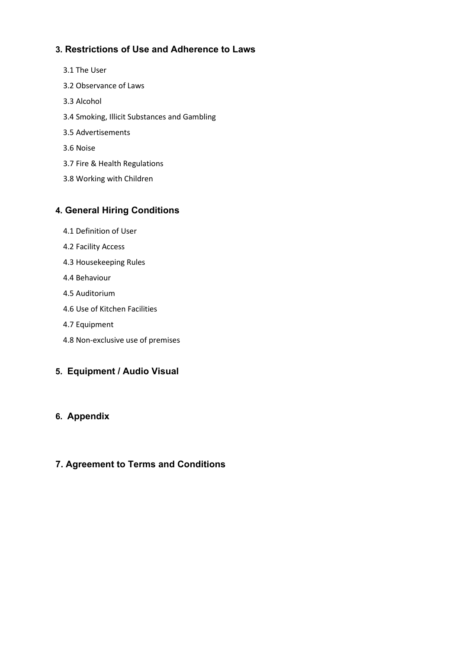# **3. Restrictions of Use and Adherence to Laws**

- 3.1 The User
- 3.2 Observance of Laws
- 3.3 Alcohol
- 3.4 Smoking, Illicit Substances and Gambling
- 3.5 Advertisements
- 3.6 Noise
- 3.7 Fire & Health Regulations
- 3.8 Working with Children

# **4. General Hiring Conditions**

- 4.1 Definition of User
- 4.2 Facility Access
- 4.3 Housekeeping Rules
- 4.4 Behaviour
- 4.5 Auditorium
- 4.6 Use of Kitchen Facilities
- 4.7 Equipment
- 4.8 Non-exclusive use of premises

# **5. Equipment / Audio Visual**

# **6. Appendix**

# **7. Agreement to Terms and Conditions**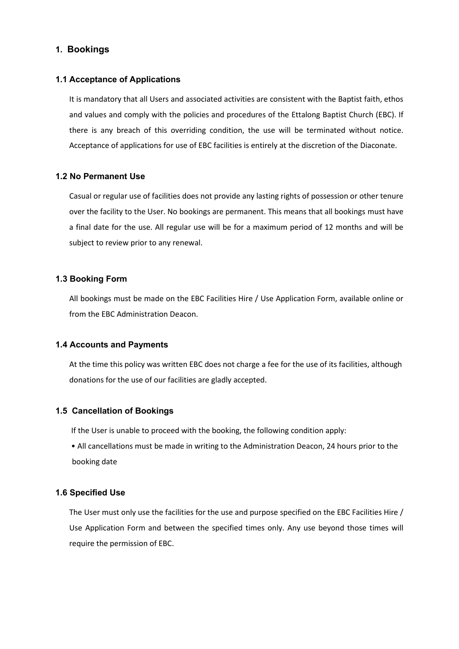### **1. Bookings**

#### **1.1 Acceptance of Applications**

It is mandatory that all Users and associated activities are consistent with the Baptist faith, ethos and values and comply with the policies and procedures of the Ettalong Baptist Church (EBC). If there is any breach of this overriding condition, the use will be terminated without notice. Acceptance of applications for use of EBC facilities is entirely at the discretion of the Diaconate.

#### **1.2 No Permanent Use**

Casual or regular use of facilities does not provide any lasting rights of possession or other tenure over the facility to the User. No bookings are permanent. This means that all bookings must have a final date for the use. All regular use will be for a maximum period of 12 months and will be subject to review prior to any renewal.

#### **1.3 Booking Form**

All bookings must be made on the EBC Facilities Hire / Use Application Form, available online or from the EBC Administration Deacon.

#### **1.4 Accounts and Payments**

At the time this policy was written EBC does not charge a fee for the use of its facilities, although donations for the use of our facilities are gladly accepted.

#### **1.5 Cancellation of Bookings**

If the User is unable to proceed with the booking, the following condition apply:

• All cancellations must be made in writing to the Administration Deacon, 24 hours prior to the booking date

#### **1.6 Specified Use**

The User must only use the facilities for the use and purpose specified on the EBC Facilities Hire / Use Application Form and between the specified times only. Any use beyond those times will require the permission of EBC.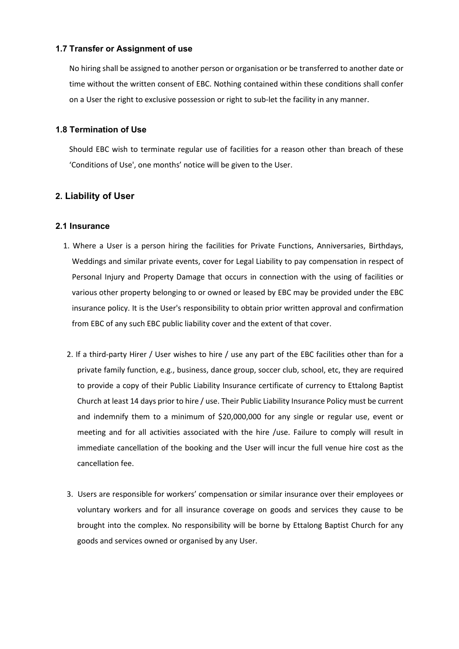#### **1.7 Transfer or Assignment of use**

No hiring shall be assigned to another person or organisation or be transferred to another date or time without the written consent of EBC. Nothing contained within these conditions shall confer on a User the right to exclusive possession or right to sub-let the facility in any manner.

#### **1.8 Termination of Use**

Should EBC wish to terminate regular use of facilities for a reason other than breach of these 'Conditions of Use', one months' notice will be given to the User.

# **2. Liability of User**

#### **2.1 Insurance**

- 1. Where a User is a person hiring the facilities for Private Functions, Anniversaries, Birthdays, Weddings and similar private events, cover for Legal Liability to pay compensation in respect of Personal Injury and Property Damage that occurs in connection with the using of facilities or various other property belonging to or owned or leased by EBC may be provided under the EBC insurance policy. It is the User's responsibility to obtain prior written approval and confirmation from EBC of any such EBC public liability cover and the extent of that cover.
- 2. If a third-party Hirer / User wishes to hire / use any part of the EBC facilities other than for a private family function, e.g., business, dance group, soccer club, school, etc, they are required to provide a copy of their Public Liability Insurance certificate of currency to Ettalong Baptist Church at least 14 days prior to hire / use. Their Public Liability Insurance Policy must be current and indemnify them to a minimum of \$20,000,000 for any single or regular use, event or meeting and for all activities associated with the hire /use. Failure to comply will result in immediate cancellation of the booking and the User will incur the full venue hire cost as the cancellation fee.
- 3. Users are responsible for workers' compensation or similar insurance over their employees or voluntary workers and for all insurance coverage on goods and services they cause to be brought into the complex. No responsibility will be borne by Ettalong Baptist Church for any goods and services owned or organised by any User.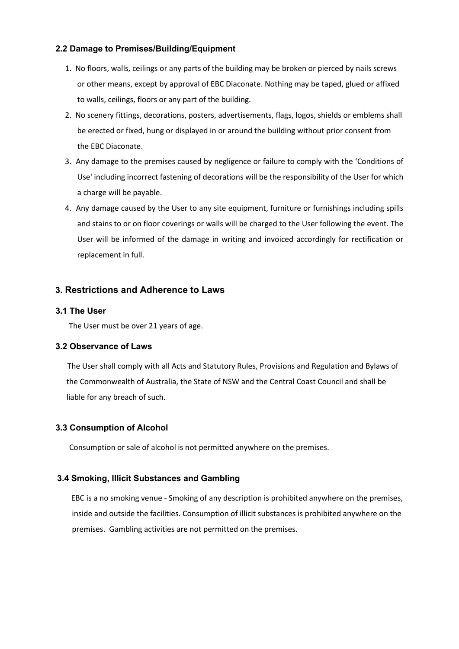### **2.2 Damage to Premises/Building/Equipment**

- 1. No floors, walls, ceilings or any parts of the building may be broken or pierced by nails screws or other means, except by approval of EBC Diaconate. Nothing may be taped, glued or affixed to walls, ceilings, floors or any part of the building.
- 2. No scenery fittings, decorations, posters, advertisements, flags, logos, shields or emblems shall be erected or fixed, hung or displayed in or around the building without prior consent from the EBC Diaconate.
- 3. Any damage to the premises caused by negligence or failure to comply with the 'Conditions of Use' including incorrect fastening of decorations will be the responsibility of the User for which a charge will be payable.
- 4. Any damage caused by the User to any site equipment, furniture or furnishings including spills and stains to or on floor coverings or walls will be charged to the User following the event. The User will be informed of the damage in writing and invoiced accordingly for rectification or replacement in full.

# **3. Restrictions and Adherence to Laws**

#### **3.1 The User**

The User must be over 21 years of age.

### **3.2 Observance of Laws**

 The User shall comply with all Acts and Statutory Rules, Provisions and Regulation and Bylaws of the Commonwealth of Australia, the State of NSW and the Central Coast Council and shall be liable for any breach of such.

### **3.3 Consumption of Alcohol**

Consumption or sale of alcohol is not permitted anywhere on the premises.

### **3.4 Smoking, Illicit Substances and Gambling**

 EBC is a no smoking venue - Smoking of any description is prohibited anywhere on the premises, inside and outside the facilities. Consumption of illicit substances is prohibited anywhere on the premises. Gambling activities are not permitted on the premises.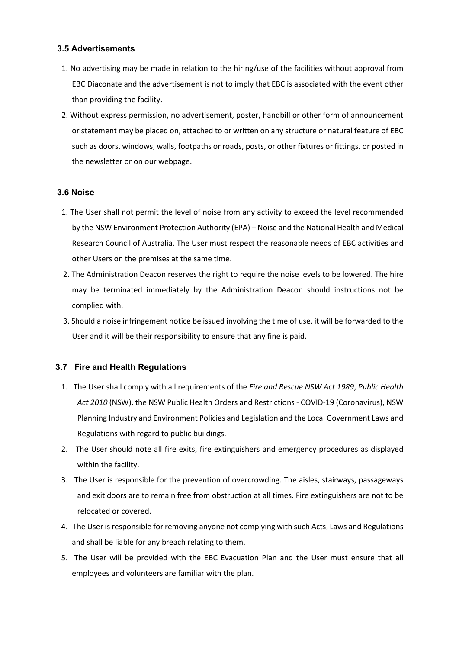### **3.5 Advertisements**

- 1. No advertising may be made in relation to the hiring/use of the facilities without approval from EBC Diaconate and the advertisement is not to imply that EBC is associated with the event other than providing the facility.
- 2. Without express permission, no advertisement, poster, handbill or other form of announcement or statement may be placed on, attached to or written on any structure or natural feature of EBC such as doors, windows, walls, footpaths or roads, posts, or other fixtures or fittings, or posted in the newsletter or on our webpage.

#### **3.6 Noise**

- 1. The User shall not permit the level of noise from any activity to exceed the level recommended by the NSW Environment Protection Authority (EPA) – Noise and the National Health and Medical Research Council of Australia. The User must respect the reasonable needs of EBC activities and other Users on the premises at the same time.
- 2. The Administration Deacon reserves the right to require the noise levels to be lowered. The hire may be terminated immediately by the Administration Deacon should instructions not be complied with.
- 3. Should a noise infringement notice be issued involving the time of use, it will be forwarded to the User and it will be their responsibility to ensure that any fine is paid.

### **3.7 Fire and Health Regulations**

- 1. The User shall comply with all requirements of the *Fire and Rescue NSW Act 1989*, *Public Health Act 2010* (NSW), the NSW Public Health Orders and Restrictions - COVID-19 (Coronavirus), NSW Planning Industry and Environment Policies and Legislation and the Local Government Laws and Regulations with regard to public buildings.
- 2. The User should note all fire exits, fire extinguishers and emergency procedures as displayed within the facility.
- 3. The User is responsible for the prevention of overcrowding. The aisles, stairways, passageways and exit doors are to remain free from obstruction at all times. Fire extinguishers are not to be relocated or covered.
- 4. The User is responsible for removing anyone not complying with such Acts, Laws and Regulations and shall be liable for any breach relating to them.
- 5. The User will be provided with the EBC Evacuation Plan and the User must ensure that all employees and volunteers are familiar with the plan.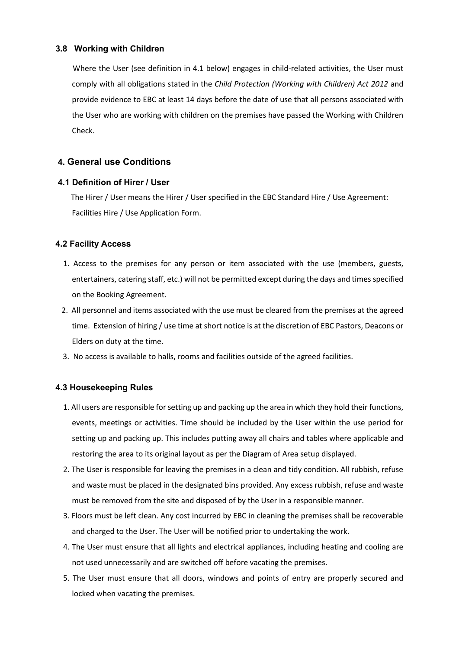#### **3.8 Working with Children**

 Where the User (see definition in 4.1 below) engages in child-related activities, the User must comply with all obligations stated in the *Child Protection (Working with Children) Act 2012* and provide evidence to EBC at least 14 days before the date of use that all persons associated with the User who are working with children on the premises have passed the Working with Children Check.

# **4. General use Conditions**

#### **4.1 Definition of Hirer / User**

 The Hirer / User means the Hirer / User specified in the EBC Standard Hire / Use Agreement: Facilities Hire / Use Application Form.

#### **4.2 Facility Access**

- 1. Access to the premises for any person or item associated with the use (members, guests, entertainers, catering staff, etc.) will not be permitted except during the days and times specified on the Booking Agreement.
- 2. All personnel and items associated with the use must be cleared from the premises at the agreed time. Extension of hiring / use time at short notice is at the discretion of EBC Pastors, Deacons or Elders on duty at the time.
- 3. No access is available to halls, rooms and facilities outside of the agreed facilities.

#### **4.3 Housekeeping Rules**

- 1. All users are responsible for setting up and packing up the area in which they hold their functions, events, meetings or activities. Time should be included by the User within the use period for setting up and packing up. This includes putting away all chairs and tables where applicable and restoring the area to its original layout as per the Diagram of Area setup displayed.
- 2. The User is responsible for leaving the premises in a clean and tidy condition. All rubbish, refuse and waste must be placed in the designated bins provided. Any excess rubbish, refuse and waste must be removed from the site and disposed of by the User in a responsible manner.
- 3. Floors must be left clean. Any cost incurred by EBC in cleaning the premises shall be recoverable and charged to the User. The User will be notified prior to undertaking the work.
- 4. The User must ensure that all lights and electrical appliances, including heating and cooling are not used unnecessarily and are switched off before vacating the premises.
- 5. The User must ensure that all doors, windows and points of entry are properly secured and locked when vacating the premises.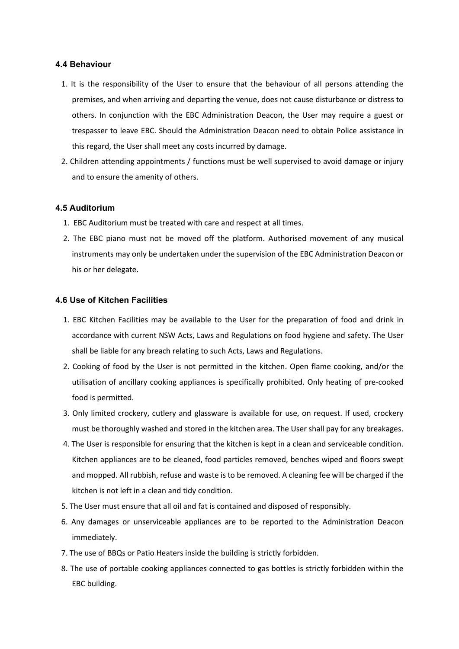#### **4.4 Behaviour**

- 1. It is the responsibility of the User to ensure that the behaviour of all persons attending the premises, and when arriving and departing the venue, does not cause disturbance or distress to others. In conjunction with the EBC Administration Deacon, the User may require a guest or trespasser to leave EBC. Should the Administration Deacon need to obtain Police assistance in this regard, the User shall meet any costs incurred by damage.
- 2. Children attending appointments / functions must be well supervised to avoid damage or injury and to ensure the amenity of others.

#### **4.5 Auditorium**

- 1. EBC Auditorium must be treated with care and respect at all times.
- 2. The EBC piano must not be moved off the platform. Authorised movement of any musical instruments may only be undertaken under the supervision of the EBC Administration Deacon or his or her delegate.

#### **4.6 Use of Kitchen Facilities**

- 1. EBC Kitchen Facilities may be available to the User for the preparation of food and drink in accordance with current NSW Acts, Laws and Regulations on food hygiene and safety. The User shall be liable for any breach relating to such Acts, Laws and Regulations.
- 2. Cooking of food by the User is not permitted in the kitchen. Open flame cooking, and/or the utilisation of ancillary cooking appliances is specifically prohibited. Only heating of pre-cooked food is permitted.
- 3. Only limited crockery, cutlery and glassware is available for use, on request. If used, crockery must be thoroughly washed and stored in the kitchen area. The User shall pay for any breakages.
- 4. The User is responsible for ensuring that the kitchen is kept in a clean and serviceable condition. Kitchen appliances are to be cleaned, food particles removed, benches wiped and floors swept and mopped. All rubbish, refuse and waste is to be removed. A cleaning fee will be charged if the kitchen is not left in a clean and tidy condition.
- 5. The User must ensure that all oil and fat is contained and disposed of responsibly.
- 6. Any damages or unserviceable appliances are to be reported to the Administration Deacon immediately.
- 7. The use of BBQs or Patio Heaters inside the building is strictly forbidden.
- 8. The use of portable cooking appliances connected to gas bottles is strictly forbidden within the EBC building.